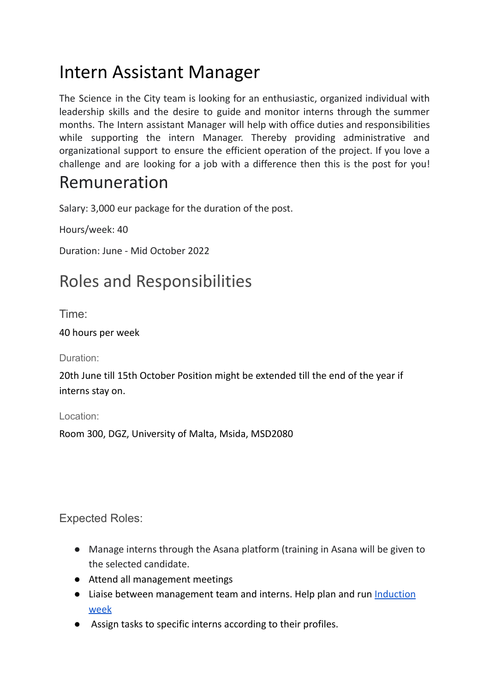# Intern Assistant Manager

The Science in the City team is looking for an enthusiastic, organized individual with leadership skills and the desire to guide and monitor interns through the summer months. The Intern assistant Manager will help with office duties and responsibilities while supporting the intern Manager. Thereby providing administrative and organizational support to ensure the efficient operation of the project. If you love a challenge and are looking for a job with a difference then this is the post for you!

### Remuneration

Salary: 3,000 eur package for the duration of the post.

Hours/week: 40

Duration: June - Mid October 2022

## Roles and Responsibilities

Time:

40 hours per week

Duration:

20th June till 15th October Position might be extended till the end of the year if interns stay on.

Location:

Room 300, DGZ, University of Malta, Msida, MSD2080

#### Expected Roles:

- Manage interns through the Asana platform (training in Asana will be given to the selected candidate.
- Attend all management meetings
- Liaise between management team and interns. Help plan and run [Induction](https://docs.google.com/document/d/1wimwl7mAU3A6ufnpDAgRaDT7cKLUodeW0Euqt9do4eY/edit) [week](https://docs.google.com/document/d/1wimwl7mAU3A6ufnpDAgRaDT7cKLUodeW0Euqt9do4eY/edit)
- Assign tasks to specific interns according to their profiles.